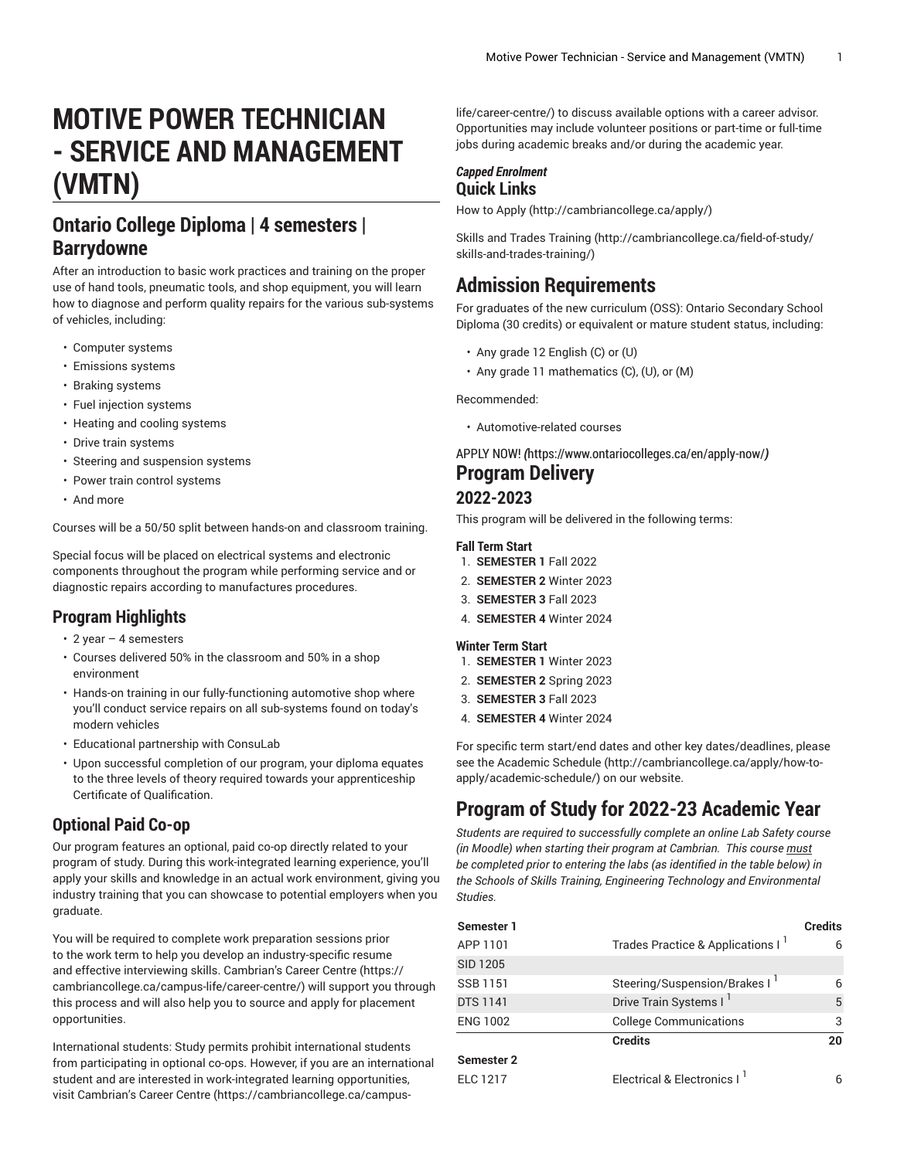# **MOTIVE POWER TECHNICIAN - SERVICE AND MANAGEMENT (VMTN)**

# **Ontario College Diploma | 4 semesters | Barrydowne**

After an introduction to basic work practices and training on the proper use of hand tools, pneumatic tools, and shop equipment, you will learn how to diagnose and perform quality repairs for the various sub-systems of vehicles, including:

- Computer systems
- Emissions systems
- Braking systems
- Fuel injection systems
- Heating and cooling systems
- Drive train systems
- Steering and suspension systems
- Power train control systems
- And more

Courses will be a 50/50 split between hands-on and classroom training.

Special focus will be placed on electrical systems and electronic components throughout the program while performing service and or diagnostic repairs according to manufactures procedures.

## **Program Highlights**

- 2 year 4 semesters
- Courses delivered 50% in the classroom and 50% in a shop environment
- Hands-on training in our fully-functioning automotive shop where you'll conduct service repairs on all sub-systems found on today's modern vehicles
- Educational partnership with ConsuLab
- Upon successful completion of our program, your diploma equates to the three levels of theory required towards your apprenticeship Certificate of Qualification.

## **Optional Paid Co-op**

Our program features an optional, paid co-op directly related to your program of study. During this work-integrated learning experience, you'll apply your skills and knowledge in an actual work environment, giving you industry training that you can showcase to potential employers when you graduate.

You will be required to complete work preparation sessions prior to the work term to help you develop an industry-specific resume and effective interviewing skills. Cambrian's Career [Centre \(https://](https://cambriancollege.ca/campus-life/career-centre/) [cambriancollege.ca/campus-life/career-centre/\)](https://cambriancollege.ca/campus-life/career-centre/) will support you through this process and will also help you to source and apply for placement opportunities.

International students: Study permits prohibit international students from participating in optional co-ops. However, if you are an international student and are interested in work-integrated learning opportunities, visit Cambrian's Career [Centre \(https://cambriancollege.ca/campus-](https://cambriancollege.ca/campus-life/career-centre/)

[life/career-centre/](https://cambriancollege.ca/campus-life/career-centre/)) to discuss available options with a career advisor. Opportunities may include volunteer positions or part-time or full-time jobs during academic breaks and/or during the academic year.

#### *Capped Enrolment* **Quick Links**

[How to Apply](http://cambriancollege.ca/apply/) ([http://cambriancollege.ca/apply/\)](http://cambriancollege.ca/apply/)

Skills and Trades [Training \(http://cambriancollege.ca/field-of-study/](http://cambriancollege.ca/field-of-study/skills-and-trades-training/) [skills-and-trades-training/\)](http://cambriancollege.ca/field-of-study/skills-and-trades-training/)

# **Admission Requirements**

For graduates of the new curriculum (OSS): Ontario Secondary School Diploma (30 credits) or equivalent or mature student status, including:

- Any grade 12 English (C) or (U)
- Any grade 11 mathematics (C), (U), or (M)

Recommended:

• Automotive-related courses

[APPLY](https://www.ontariocolleges.ca/en/apply-now/) NOW! *(*<https://www.ontariocolleges.ca/en/apply-now/>*)* **Program Delivery**

#### **2022-2023**

This program will be delivered in the following terms:

#### **Fall Term Start**

- 1. **SEMESTER 1** Fall 2022
- 2. **SEMESTER 2** Winter 2023
- 3. **SEMESTER 3** Fall 2023
- 4. **SEMESTER 4** Winter 2024

#### **Winter Term Start**

- 1. **SEMESTER 1** Winter 2023
- 2. **SEMESTER 2** Spring 2023
- 3. **SEMESTER 3** Fall 2023
- 4. **SEMESTER 4** Winter 2024

For specific term start/end dates and other key dates/deadlines, please see the [Academic Schedule \(http://cambriancollege.ca/apply/how-to](http://cambriancollege.ca/apply/how-to-apply/academic-schedule/)[apply/academic-schedule/](http://cambriancollege.ca/apply/how-to-apply/academic-schedule/)) on our website.

# **Program of Study for 2022-23 Academic Year**

*Students are required to successfully complete an online Lab Safety course (in Moodle) when starting their program at Cambrian. This course must be completed prior to entering the labs (as identified in the table below) in the Schools of Skills Training, Engineering Technology and Environmental Studies.*

| Semester 2      | <b>Credits</b>                                | 20             |
|-----------------|-----------------------------------------------|----------------|
| ENG 1002        | <b>College Communications</b>                 | 3              |
| <b>DTS 1141</b> | Drive Train Systems I <sup>1</sup>            | 5              |
| SSB 1151        | Steering/Suspension/Brakes I                  | 6              |
| SID 1205        |                                               |                |
| APP 1101        | Trades Practice & Applications I <sup>1</sup> | 6              |
| Semester 1      |                                               | <b>Credits</b> |
|                 |                                               |                |